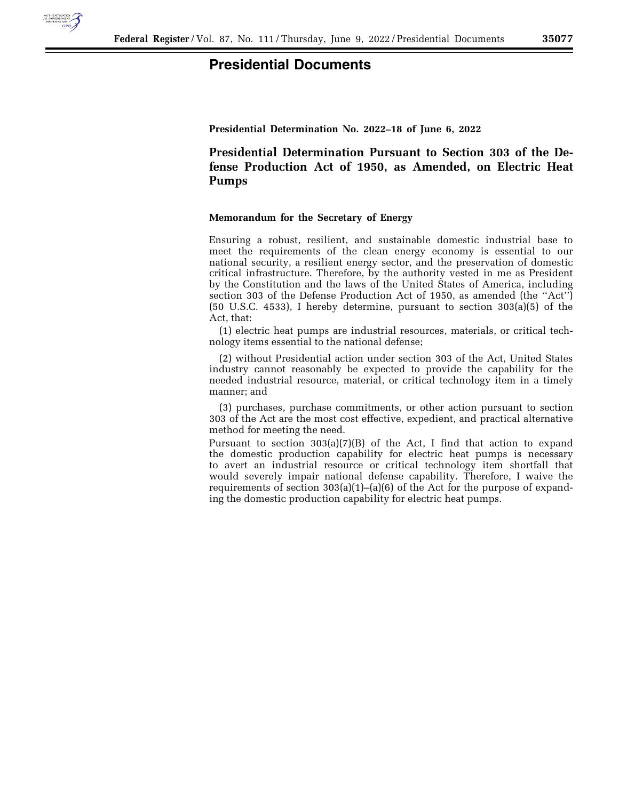

## **Presidential Documents**

**Presidential Determination No. 2022–18 of June 6, 2022** 

**Presidential Determination Pursuant to Section 303 of the Defense Production Act of 1950, as Amended, on Electric Heat Pumps** 

## **Memorandum for the Secretary of Energy**

Ensuring a robust, resilient, and sustainable domestic industrial base to meet the requirements of the clean energy economy is essential to our national security, a resilient energy sector, and the preservation of domestic critical infrastructure. Therefore, by the authority vested in me as President by the Constitution and the laws of the United States of America, including section 303 of the Defense Production Act of 1950, as amended (the ''Act'') (50 U.S.C. 4533), I hereby determine, pursuant to section 303(a)(5) of the Act, that:

(1) electric heat pumps are industrial resources, materials, or critical technology items essential to the national defense;

(2) without Presidential action under section 303 of the Act, United States industry cannot reasonably be expected to provide the capability for the needed industrial resource, material, or critical technology item in a timely manner; and

(3) purchases, purchase commitments, or other action pursuant to section 303 of the Act are the most cost effective, expedient, and practical alternative method for meeting the need.

Pursuant to section 303(a)(7)(B) of the Act, I find that action to expand the domestic production capability for electric heat pumps is necessary to avert an industrial resource or critical technology item shortfall that would severely impair national defense capability. Therefore, I waive the requirements of section  $303(a)(1)$ –(a)(6) of the Act for the purpose of expanding the domestic production capability for electric heat pumps.